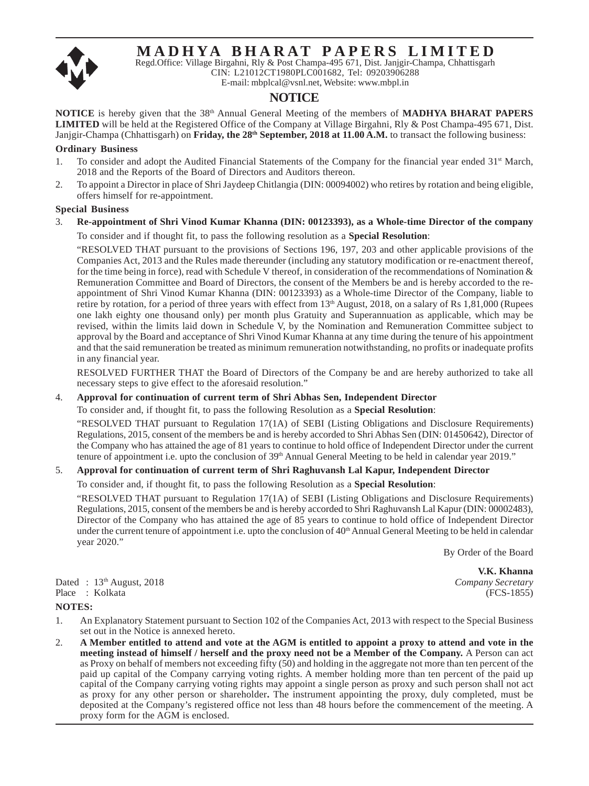# Regd.Office: Village Birgahni, Rly & Post Champa-495 671, Dist. Janjgir-Champa, Chhattisgarh **MADHYA BHARAT PAPERS LIMITED**

CIN: L21012CT1980PLC001682, Tel: 09203906288

#### E-mail: mbplcal@vsnl.net, Website: www.mbpl.in

#### **NOTICE**

**NOTICE** is hereby given that the 38th Annual General Meeting of the members of **MADHYA BHARAT PAPERS LIMITED** will be held at the Registered Office of the Company at Village Birgahni, Rly & Post Champa-495 671, Dist. Janjgir-Champa (Chhattisgarh) on **Friday, the 28<sup>th</sup> September, 2018 at 11.00 A.M.** to transact the following business:

#### **Ordinary Business**

- 1. To consider and adopt the Audited Financial Statements of the Company for the financial year ended 31<sup>st</sup> March, 2018 and the Reports of the Board of Directors and Auditors thereon.
- 2. To appoint a Director in place of Shri Jaydeep Chitlangia (DIN: 00094002) who retires by rotation and being eligible, offers himself for re-appointment.

#### **Special Business**

# 3. **Re-appointment of Shri Vinod Kumar Khanna (DIN: 00123393), as a Whole-time Director of the company**

To consider and if thought fit, to pass the following resolution as a **Special Resolution**:

"RESOLVED THAT pursuant to the provisions of Sections 196, 197, 203 and other applicable provisions of the Companies Act, 2013 and the Rules made thereunder (including any statutory modification or re-enactment thereof, for the time being in force), read with Schedule V thereof, in consideration of the recommendations of Nomination & Remuneration Committee and Board of Directors, the consent of the Members be and is hereby accorded to the reappointment of Shri Vinod Kumar Khanna (DIN: 00123393) as a Whole-time Director of the Company, liable to retire by rotation, for a period of three years with effect from 13<sup>th</sup> August, 2018, on a salary of Rs 1,81,000 (Rupees one lakh eighty one thousand only) per month plus Gratuity and Superannuation as applicable, which may be revised, within the limits laid down in Schedule V, by the Nomination and Remuneration Committee subject to approval by the Board and acceptance of Shri Vinod Kumar Khanna at any time during the tenure of his appointment and that the said remuneration be treated as minimum remuneration notwithstanding, no profits or inadequate profits in any financial year.

RESOLVED FURTHER THAT the Board of Directors of the Company be and are hereby authorized to take all necessary steps to give effect to the aforesaid resolution."

#### 4. **Approval for continuation of current term of Shri Abhas Sen, Independent Director**

To consider and, if thought fit, to pass the following Resolution as a **Special Resolution**:

"RESOLVED THAT pursuant to Regulation 17(1A) of SEBI (Listing Obligations and Disclosure Requirements) Regulations, 2015, consent of the members be and is hereby accorded to Shri Abhas Sen (DIN: 01450642), Director of the Company who has attained the age of 81 years to continue to hold office of Independent Director under the current tenure of appointment i.e. upto the conclusion of 39<sup>th</sup> Annual General Meeting to be held in calendar year 2019."

#### 5. **Approval for continuation of current term of Shri Raghuvansh Lal Kapur, Independent Director**

To consider and, if thought fit, to pass the following Resolution as a **Special Resolution**:

"RESOLVED THAT pursuant to Regulation 17(1A) of SEBI (Listing Obligations and Disclosure Requirements) Regulations, 2015, consent of the members be and is hereby accorded to Shri Raghuvansh Lal Kapur (DIN: 00002483), Director of the Company who has attained the age of 85 years to continue to hold office of Independent Director under the current tenure of appointment i.e. upto the conclusion of 40<sup>th</sup> Annual General Meeting to be held in calendar year 2020."

By Order of the Board

Dated : 13th August, 2018 *Company Secretary* Place : Kolkata (FCS-1855)

 **V.K. Khanna**

#### **NOTES:**

- 1. An Explanatory Statement pursuant to Section 102 of the Companies Act, 2013 with respect to the Special Business set out in the Notice is annexed hereto.
- 2. **A Member entitled to attend and vote at the AGM is entitled to appoint a proxy to attend and vote in the meeting instead of himself / herself and the proxy need not be a Member of the Company.** A Person can act as Proxy on behalf of members not exceeding fifty (50) and holding in the aggregate not more than ten percent of the paid up capital of the Company carrying voting rights. A member holding more than ten percent of the paid up capital of the Company carrying voting rights may appoint a single person as proxy and such person shall not act as proxy for any other person or shareholder**.** The instrument appointing the proxy, duly completed, must be deposited at the Company's registered office not less than 48 hours before the commencement of the meeting. A proxy form for the AGM is enclosed.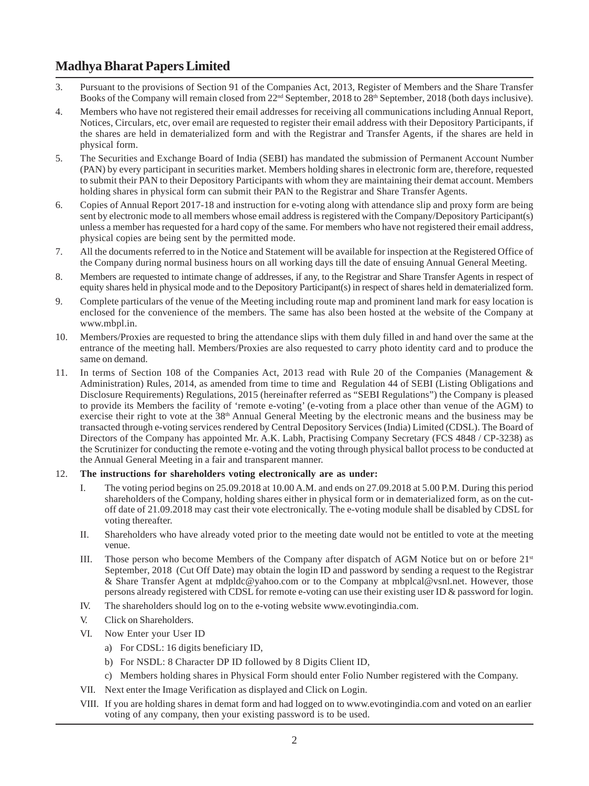# **Madhya Bharat Papers Limited**

- 3. Pursuant to the provisions of Section 91 of the Companies Act, 2013, Register of Members and the Share Transfer Books of the Company will remain closed from 22<sup>nd</sup> September, 2018 to 28<sup>th</sup> September, 2018 (both days inclusive).
- 4. Members who have not registered their email addresses for receiving all communications including Annual Report, Notices, Circulars, etc, over email are requested to register their email address with their Depository Participants, if the shares are held in dematerialized form and with the Registrar and Transfer Agents, if the shares are held in physical form.
- 5. The Securities and Exchange Board of India (SEBI) has mandated the submission of Permanent Account Number (PAN) by every participant in securities market. Members holding shares in electronic form are, therefore, requested to submit their PAN to their Depository Participants with whom they are maintaining their demat account. Members holding shares in physical form can submit their PAN to the Registrar and Share Transfer Agents.
- 6. Copies of Annual Report 2017-18 and instruction for e-voting along with attendance slip and proxy form are being sent by electronic mode to all members whose email address is registered with the Company/Depository Participant(s) unless a member has requested for a hard copy of the same. For members who have not registered their email address, physical copies are being sent by the permitted mode.
- 7. All the documents referred to in the Notice and Statement will be available for inspection at the Registered Office of the Company during normal business hours on all working days till the date of ensuing Annual General Meeting.
- 8. Members are requested to intimate change of addresses, if any, to the Registrar and Share Transfer Agents in respect of equity shares held in physical mode and to the Depository Participant(s) in respect of shares held in dematerialized form.
- 9. Complete particulars of the venue of the Meeting including route map and prominent land mark for easy location is enclosed for the convenience of the members. The same has also been hosted at the website of the Company at www.mbpl.in.
- 10. Members/Proxies are requested to bring the attendance slips with them duly filled in and hand over the same at the entrance of the meeting hall. Members/Proxies are also requested to carry photo identity card and to produce the same on demand.
- 11. In terms of Section 108 of the Companies Act, 2013 read with Rule 20 of the Companies (Management & Administration) Rules, 2014, as amended from time to time and Regulation 44 of SEBI (Listing Obligations and Disclosure Requirements) Regulations, 2015 (hereinafter referred as "SEBI Regulations") the Company is pleased to provide its Members the facility of 'remote e-voting' (e-voting from a place other than venue of the AGM) to exercise their right to vote at the  $38<sup>th</sup>$  Annual General Meeting by the electronic means and the business may be transacted through e-voting services rendered by Central Depository Services (India) Limited (CDSL). The Board of Directors of the Company has appointed Mr. A.K. Labh, Practising Company Secretary (FCS 4848 / CP-3238) as the Scrutinizer for conducting the remote e-voting and the voting through physical ballot process to be conducted at the Annual General Meeting in a fair and transparent manner.
- 12. **The instructions for shareholders voting electronically are as under:**
	- I. The voting period begins on 25.09.2018 at 10.00 A.M. and ends on 27.09.2018 at 5.00 P.M. During this period shareholders of the Company, holding shares either in physical form or in dematerialized form, as on the cutoff date of 21.09.2018 may cast their vote electronically. The e-voting module shall be disabled by CDSL for voting thereafter.
	- II. Shareholders who have already voted prior to the meeting date would not be entitled to vote at the meeting venue.
	- III. Those person who become Members of the Company after dispatch of AGM Notice but on or before 21<sup>st</sup> September, 2018 (Cut Off Date) may obtain the login ID and password by sending a request to the Registrar & Share Transfer Agent at mdpldc@yahoo.com or to the Company at mbplcal@vsnl.net. However, those persons already registered with CDSL for remote e-voting can use their existing user ID & password for login.
	- IV. The shareholders should log on to the e-voting website www.evotingindia.com.
	- V. Click on Shareholders.
	- VI. Now Enter your User ID
		- a) For CDSL: 16 digits beneficiary ID,
		- b) For NSDL: 8 Character DP ID followed by 8 Digits Client ID,
		- c) Members holding shares in Physical Form should enter Folio Number registered with the Company.
	- VII. Next enter the Image Verification as displayed and Click on Login.
	- VIII. If you are holding shares in demat form and had logged on to www.evotingindia.com and voted on an earlier voting of any company, then your existing password is to be used.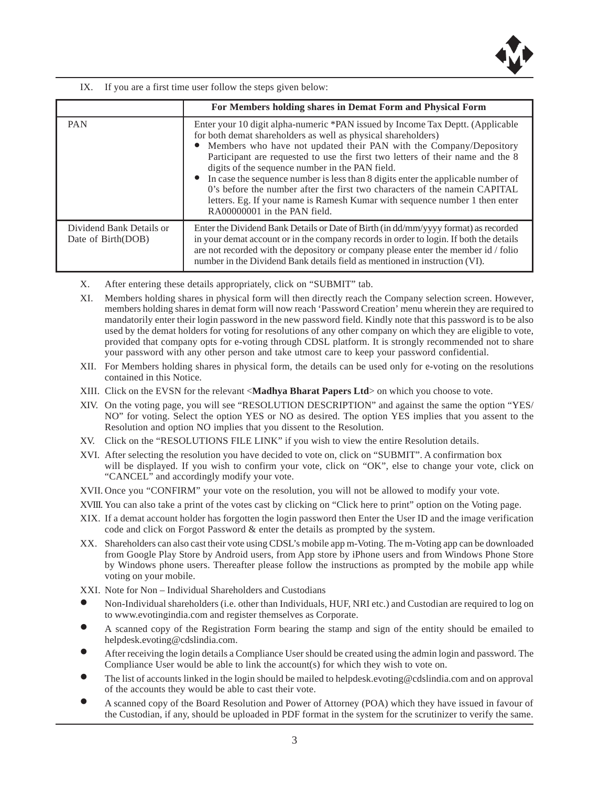

IX. If you are a first time user follow the steps given below:

|                                                | For Members holding shares in Demat Form and Physical Form                                                                                                                                                                                                                                                                                                                                                                                                                                                                                                                                                                                       |
|------------------------------------------------|--------------------------------------------------------------------------------------------------------------------------------------------------------------------------------------------------------------------------------------------------------------------------------------------------------------------------------------------------------------------------------------------------------------------------------------------------------------------------------------------------------------------------------------------------------------------------------------------------------------------------------------------------|
| <b>PAN</b>                                     | Enter your 10 digit alpha-numeric *PAN issued by Income Tax Deptt. (Applicable<br>for both demat shareholders as well as physical shareholders)<br>• Members who have not updated their PAN with the Company/Depository<br>Participant are requested to use the first two letters of their name and the 8<br>digits of the sequence number in the PAN field.<br>• In case the sequence number is less than 8 digits enter the applicable number of<br>0's before the number after the first two characters of the name in CAPITAL<br>letters. Eg. If your name is Ramesh Kumar with sequence number 1 then enter<br>RA00000001 in the PAN field. |
| Dividend Bank Details or<br>Date of Birth(DOB) | Enter the Dividend Bank Details or Date of Birth (in dd/mm/yyyy format) as recorded<br>in your demat account or in the company records in order to login. If both the details<br>are not recorded with the depository or company please enter the member id / folio<br>number in the Dividend Bank details field as mentioned in instruction (VI).                                                                                                                                                                                                                                                                                               |

- X. After entering these details appropriately, click on "SUBMIT" tab.
- XI. Members holding shares in physical form will then directly reach the Company selection screen. However, members holding shares in demat form will now reach 'Password Creation' menu wherein they are required to mandatorily enter their login password in the new password field. Kindly note that this password is to be also used by the demat holders for voting for resolutions of any other company on which they are eligible to vote, provided that company opts for e-voting through CDSL platform. It is strongly recommended not to share your password with any other person and take utmost care to keep your password confidential.
- XII. For Members holding shares in physical form, the details can be used only for e-voting on the resolutions contained in this Notice.
- XIII. Click on the EVSN for the relevant <**Madhya Bharat Papers Ltd**> on which you choose to vote.
- XIV. On the voting page, you will see "RESOLUTION DESCRIPTION" and against the same the option "YES/ NO" for voting. Select the option YES or NO as desired. The option YES implies that you assent to the Resolution and option NO implies that you dissent to the Resolution.
- XV. Click on the "RESOLUTIONS FILE LINK" if you wish to view the entire Resolution details.
- XVI. After selecting the resolution you have decided to vote on, click on "SUBMIT". A confirmation box will be displayed. If you wish to confirm your vote, click on "OK", else to change your vote, click on "CANCEL" and accordingly modify your vote.
- XVII. Once you "CONFIRM" your vote on the resolution, you will not be allowed to modify your vote.
- XVIII. You can also take a print of the votes cast by clicking on "Click here to print" option on the Voting page.
- XIX. If a demat account holder has forgotten the login password then Enter the User ID and the image verification code and click on Forgot Password & enter the details as prompted by the system.
- XX. Shareholders can also cast their vote using CDSL's mobile app m-Voting. The m-Voting app can be downloaded from Google Play Store by Android users, from App store by iPhone users and from Windows Phone Store by Windows phone users. Thereafter please follow the instructions as prompted by the mobile app while voting on your mobile.
- XXI. Note for Non Individual Shareholders and Custodians
- Non-Individual shareholders (i.e. other than Individuals, HUF, NRI etc.) and Custodian are required to log on to www.evotingindia.com and register themselves as Corporate.
- A scanned copy of the Registration Form bearing the stamp and sign of the entity should be emailed to helpdesk.evoting@cdslindia.com.
- After receiving the login details a Compliance User should be created using the admin login and password. The Compliance User would be able to link the account(s) for which they wish to vote on.
- The list of accounts linked in the login should be mailed to helpdesk.evoting@cdslindia.com and on approval of the accounts they would be able to cast their vote.
- A scanned copy of the Board Resolution and Power of Attorney (POA) which they have issued in favour of the Custodian, if any, should be uploaded in PDF format in the system for the scrutinizer to verify the same.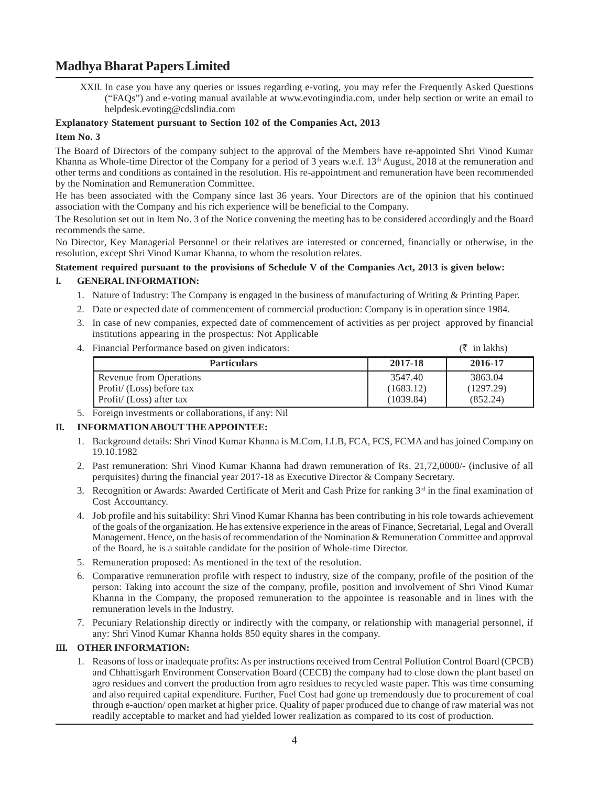## **Madhya Bharat Papers Limited**

XXII. In case you have any queries or issues regarding e-voting, you may refer the Frequently Asked Questions ("FAQs") and e-voting manual available at www.evotingindia.com, under help section or write an email to helpdesk.evoting@cdslindia.com

#### **Explanatory Statement pursuant to Section 102 of the Companies Act, 2013**

#### **Item No. 3**

The Board of Directors of the company subject to the approval of the Members have re-appointed Shri Vinod Kumar Khanna as Whole-time Director of the Company for a period of 3 years w.e.f. 13<sup>th</sup> August, 2018 at the remuneration and other terms and conditions as contained in the resolution. His re-appointment and remuneration have been recommended by the Nomination and Remuneration Committee.

He has been associated with the Company since last 36 years. Your Directors are of the opinion that his continued association with the Company and his rich experience will be beneficial to the Company.

The Resolution set out in Item No. 3 of the Notice convening the meeting has to be considered accordingly and the Board recommends the same.

No Director, Key Managerial Personnel or their relatives are interested or concerned, financially or otherwise, in the resolution, except Shri Vinod Kumar Khanna, to whom the resolution relates.

#### **Statement required pursuant to the provisions of Schedule V of the Companies Act, 2013 is given below:**

#### **I. GENERAL INFORMATION:**

- 1. Nature of Industry: The Company is engaged in the business of manufacturing of Writing & Printing Paper.
- 2. Date or expected date of commencement of commercial production: Company is in operation since 1984.
- 3. In case of new companies, expected date of commencement of activities as per project approved by financial institutions appearing in the prospectus: Not Applicable
- 4. Financial Performance based on given indicators:  $(\bar{\xi})$  in lakhs)

|  | . | in lakhs) |  |
|--|---|-----------|--|
|  |   |           |  |

| <b>Particulars</b>                | 2017-18   | 2016-17   |
|-----------------------------------|-----------|-----------|
| Revenue from Operations           | 3547.40   | 3863.04   |
| $\vert$ Profit/ (Loss) before tax | (1683.12) | (1297.29) |
| $\Gamma$ Profit/ (Loss) after tax | (1039.84) | (852.24)  |

5. Foreign investments or collaborations, if any: Nil

#### **II. INFORMATION ABOUT THE APPOINTEE:**

- 1. Background details: Shri Vinod Kumar Khanna is M.Com, LLB, FCA, FCS, FCMA and has joined Company on 19.10.1982
- 2. Past remuneration: Shri Vinod Kumar Khanna had drawn remuneration of Rs. 21,72,0000/- (inclusive of all perquisites) during the financial year 2017-18 as Executive Director & Company Secretary.
- 3. Recognition or Awards: Awarded Certificate of Merit and Cash Prize for ranking  $3<sup>rd</sup>$  in the final examination of Cost Accountancy.
- 4. Job profile and his suitability: Shri Vinod Kumar Khanna has been contributing in his role towards achievement of the goals of the organization. He has extensive experience in the areas of Finance, Secretarial, Legal and Overall Management. Hence, on the basis of recommendation of the Nomination & Remuneration Committee and approval of the Board, he is a suitable candidate for the position of Whole-time Director.
- 5. Remuneration proposed: As mentioned in the text of the resolution.
- 6. Comparative remuneration profile with respect to industry, size of the company, profile of the position of the person: Taking into account the size of the company, profile, position and involvement of Shri Vinod Kumar Khanna in the Company, the proposed remuneration to the appointee is reasonable and in lines with the remuneration levels in the Industry.
- 7. Pecuniary Relationship directly or indirectly with the company, or relationship with managerial personnel, if any: Shri Vinod Kumar Khanna holds 850 equity shares in the company.

#### **III. OTHER INFORMATION:**

1. Reasons of loss or inadequate profits: As per instructions received from Central Pollution Control Board (CPCB) and Chhattisgarh Environment Conservation Board (CECB) the company had to close down the plant based on agro residues and convert the production from agro residues to recycled waste paper. This was time consuming and also required capital expenditure. Further, Fuel Cost had gone up tremendously due to procurement of coal through e-auction/ open market at higher price. Quality of paper produced due to change of raw material was not readily acceptable to market and had yielded lower realization as compared to its cost of production.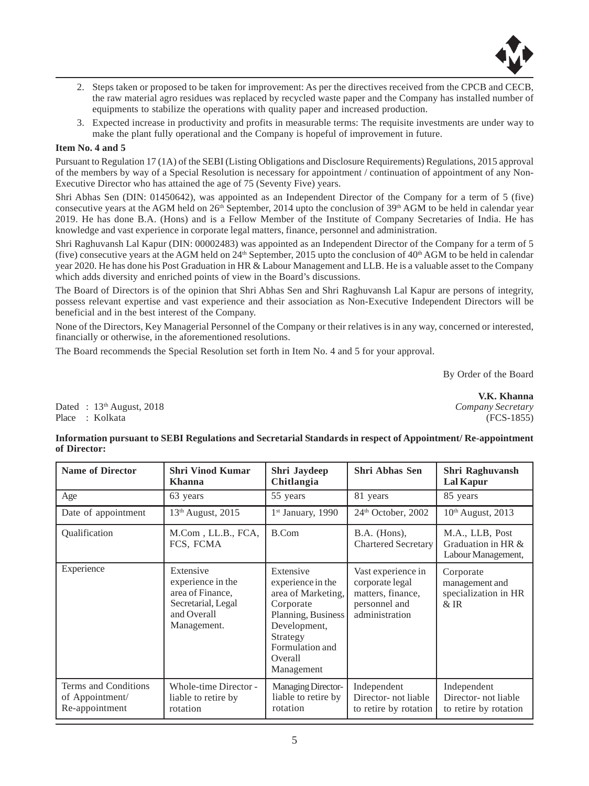

- 2. Steps taken or proposed to be taken for improvement: As per the directives received from the CPCB and CECB, the raw material agro residues was replaced by recycled waste paper and the Company has installed number of equipments to stabilize the operations with quality paper and increased production.
- 3. Expected increase in productivity and profits in measurable terms: The requisite investments are under way to make the plant fully operational and the Company is hopeful of improvement in future.

#### **Item No. 4 and 5**

Pursuant to Regulation 17 (1A) of the SEBI (Listing Obligations and Disclosure Requirements) Regulations, 2015 approval of the members by way of a Special Resolution is necessary for appointment / continuation of appointment of any Non-Executive Director who has attained the age of 75 (Seventy Five) years.

Shri Abhas Sen (DIN: 01450642), was appointed as an Independent Director of the Company for a term of 5 (five) consecutive years at the AGM held on  $26<sup>th</sup>$  September, 2014 upto the conclusion of 39<sup>th</sup> AGM to be held in calendar year 2019. He has done B.A. (Hons) and is a Fellow Member of the Institute of Company Secretaries of India. He has knowledge and vast experience in corporate legal matters, finance, personnel and administration.

Shri Raghuvansh Lal Kapur (DIN: 00002483) was appointed as an Independent Director of the Company for a term of 5 (five) consecutive years at the AGM held on  $24<sup>th</sup>$  September, 2015 upto the conclusion of  $40<sup>th</sup>$  AGM to be held in calendar year 2020. He has done his Post Graduation in HR & Labour Management and LLB. He is a valuable asset to the Company which adds diversity and enriched points of view in the Board's discussions.

The Board of Directors is of the opinion that Shri Abhas Sen and Shri Raghuvansh Lal Kapur are persons of integrity, possess relevant expertise and vast experience and their association as Non-Executive Independent Directors will be beneficial and in the best interest of the Company.

None of the Directors, Key Managerial Personnel of the Company or their relatives is in any way, concerned or interested, financially or otherwise, in the aforementioned resolutions.

The Board recommends the Special Resolution set forth in Item No. 4 and 5 for your approval.

By Order of the Board

Dated : 13th August, 2018 *Company Secretary* Place : Kolkata (FCS-1855)

 **V.K. Khanna**

#### **Information pursuant to SEBI Regulations and Secretarial Standards in respect of Appointment/ Re-appointment of Director:**

| <b>Name of Director</b>                                   | <b>Shri Vinod Kumar</b><br><b>Khanna</b>                                                               | Shri Jaydeep<br>Chitlangia                                                                                                                                      | <b>Shri Abhas Sen</b>                                                                         | Shri Raghuvansh<br>Lal Kapur                                |
|-----------------------------------------------------------|--------------------------------------------------------------------------------------------------------|-----------------------------------------------------------------------------------------------------------------------------------------------------------------|-----------------------------------------------------------------------------------------------|-------------------------------------------------------------|
| Age                                                       | 63 years                                                                                               | 55 years                                                                                                                                                        | 81 years                                                                                      | 85 years                                                    |
| Date of appointment                                       | $13th$ August, 2015                                                                                    | $1st$ January, 1990                                                                                                                                             | $24th$ October, 2002                                                                          | $10th$ August, 2013                                         |
| <b>Qualification</b>                                      | M.Com, LL.B., FCA,<br>FCS, FCMA                                                                        | B.Com                                                                                                                                                           | $B.A.$ (Hons),<br><b>Chartered Secretary</b>                                                  | M.A., LLB, Post<br>Graduation in HR &<br>Labour Management, |
| Experience                                                | Extensive<br>experience in the<br>area of Finance,<br>Secretarial, Legal<br>and Overall<br>Management. | Extensive<br>experience in the<br>area of Marketing,<br>Corporate<br>Planning, Business<br>Development,<br>Strategy<br>Formulation and<br>Overall<br>Management | Vast experience in<br>corporate legal<br>matters, finance,<br>personnel and<br>administration | Corporate<br>management and<br>specialization in HR<br>& IR |
| Terms and Conditions<br>of Appointment/<br>Re-appointment | Whole-time Director -<br>liable to retire by<br>rotation                                               | <b>Managing Director-</b><br>liable to retire by<br>rotation                                                                                                    | Independent<br>Director-not liable<br>to retire by rotation                                   | Independent<br>Director-not liable<br>to retire by rotation |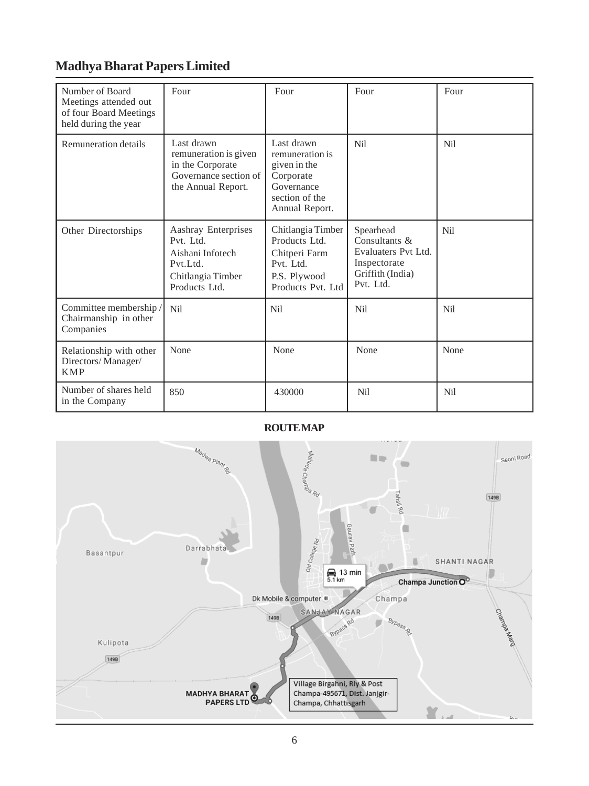# **Madhya Bharat Papers Limited**

| Number of Board<br>Meetings attended out<br>of four Board Meetings<br>held during the year | Four                                                                                                   | Four                                                                                                         | Four                                                                                               | Four       |
|--------------------------------------------------------------------------------------------|--------------------------------------------------------------------------------------------------------|--------------------------------------------------------------------------------------------------------------|----------------------------------------------------------------------------------------------------|------------|
| Remuneration details                                                                       | Last drawn<br>remuneration is given<br>in the Corporate<br>Governance section of<br>the Annual Report. | Last drawn<br>remuneration is<br>given in the<br>Corporate<br>Governance<br>section of the<br>Annual Report. | Nil                                                                                                | <b>Nil</b> |
| Other Directorships                                                                        | Aashray Enterprises<br>Pvt. Ltd.<br>Aishani Infotech<br>Pvt.Ltd.<br>Chitlangia Timber<br>Products Ltd. | Chitlangia Timber<br>Products Ltd.<br>Chitperi Farm<br>Pvt. Ltd.<br>P.S. Plywood<br>Products Pyt. Ltd        | Spearhead<br>Consultants &<br>Evaluaters Pvt Ltd.<br>Inspectorate<br>Griffith (India)<br>Pvt. Ltd. | Nil        |
| Committee membership /<br>Chairmanship in other<br>Companies                               | Nil                                                                                                    | <b>Nil</b>                                                                                                   | Nil                                                                                                | Nil        |
| Relationship with other<br>Directors/Manager/<br><b>KMP</b>                                | None                                                                                                   | None                                                                                                         | None                                                                                               | None       |
| Number of shares held<br>in the Company                                                    | 850                                                                                                    | 430000                                                                                                       | Nil                                                                                                | Nil        |

### **ROUTE MAP**

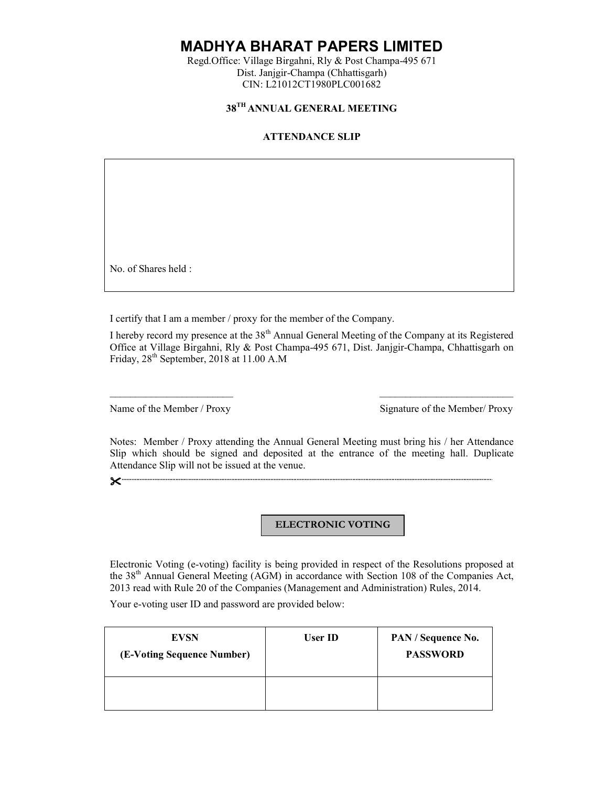**MADHYA BHARAT PAPERS LIMITED**

Regd.Office: Village Birgahni, Rly & Post Champa-495 671 Dist. Janjgir-Champa (Chhattisgarh) CIN: L21012CT1980PLC001682

### **38TH ANNUAL GENERAL MEETING**

#### **ATTENDANCE SLIP**

No. of Shares held :

I certify that I am a member / proxy for the member of the Company.

I hereby record my presence at the 38th Annual General Meeting of the Company at its Registered Office at Village Birgahni, Rly & Post Champa-495 671, Dist. Janjgir-Champa, Chhattisgarh on Friday, 28<sup>th</sup> September, 2018 at 11.00 A.M

 $\overline{\phantom{a}}$  , and the contribution of  $\overline{\phantom{a}}$  , and  $\overline{\phantom{a}}$  , and  $\overline{\phantom{a}}$  , and  $\overline{\phantom{a}}$  , and  $\overline{\phantom{a}}$  , and  $\overline{\phantom{a}}$ 

Name of the Member / Proxy Signature of the Member/ Proxy

Notes: Member / Proxy attending the Annual General Meeting must bring his / her Attendance Slip which should be signed and deposited at the entrance of the meeting hall. Duplicate Attendance Slip will not be issued at the venue.

**..................................................................................................................................................................................................................................**.

#### **ELECTRONIC VOTING**

Electronic Voting (e-voting) facility is being provided in respect of the Resolutions proposed at the 38th Annual General Meeting (AGM) in accordance with Section 108 of the Companies Act, 2013 read with Rule 20 of the Companies (Management and Administration) Rules, 2014.

Your e-voting user ID and password are provided below:

| <b>EVSN</b><br>(E-Voting Sequence Number) | User ID | PAN / Sequence No.<br><b>PASSWORD</b> |
|-------------------------------------------|---------|---------------------------------------|
|                                           |         |                                       |